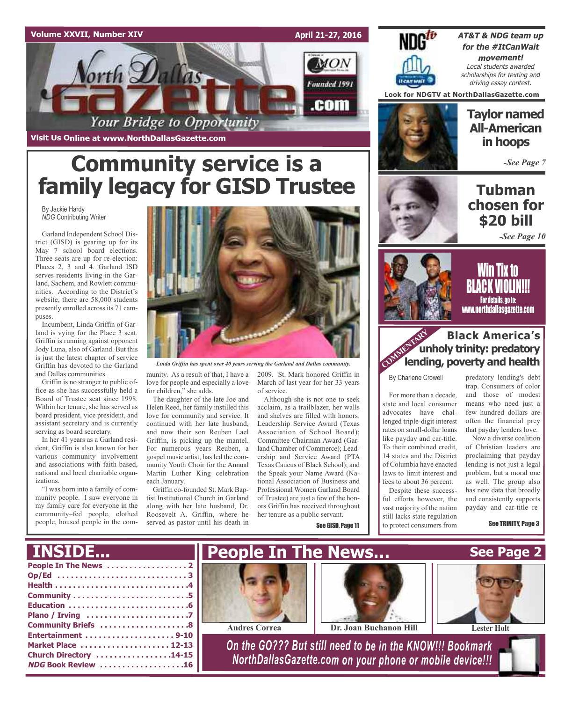## **Volume XXVII, Number XIV**

MON orth Dallas Founded 1991 .com Your Bridge to Opportunity

**Visit Us Online at www.NorthDallasGazette.com**

# **Community service is a family legacy for GISD Trustee**

By Jackie Hardy *NDG* Contributing Writer

Garland Independent School District (GISD) is gearing up for its May 7 school board elections. Three seats are up for re-election: Places 2, 3 and 4. Garland ISD serves residents living in the Garland, Sachem, and Rowlett communities. According to the District's website, there are 58,000 students presently enrolled across its 71 campuses.

Incumbent, Linda Griffin of Garland is vying for the Place 3 seat. Griffin is running against opponent Jody Luna, also of Garland. But this is just the latest chapter of service Griffin has devoted to the Garland and Dallas communities.

Griffin is no stranger to public office as she has successfully held a Board of Trustee seat since 1998. Within her tenure, she has served as board president, vice president, and assistant secretary and is currently serving as board secretary.

In her 41 years as a Garland resident, Griffin is also known for her various community involvement and associations with faith-based, national and local charitable organizations.

"I was born into a family of community people. I saw everyone in my family care for everyone in the community–fed people, clothed people, housed people in the com-



*Linda Griffin has spent over 40 years serving the Garland and Dallas community.*

munity. As a result of that, I have a love for people and especially a love for children," she adds.

The daughter of the late Joe and Helen Reed, her family instilled this love for community and service. It continued with her late husband, and now their son Reuben Lael Griffin, is picking up the mantel. For numerous years Reuben, a gospel music artist, has led the community Youth Choir for the Annual Martin Luther King celebration each January.

Griffin co-founded St. Mark Baptist Institutional Church in Garland along with her late husband, Dr. Roosevelt A. Griffin, where he served as pastor until his death in

2009. St. Mark honored Griffin in March of last year for her 33 years of service.

**April 21-27, 2016**

Although she is not one to seek acclaim, as a trailblazer, her walls and shelves are filled with honors. Leadership Service Award (Texas Association of School Board); Committee Chairman Award (Garland Chamber of Commerce); Leadership and Service Award (PTA Texas Caucus of Black School); and the Speak your Name Award (National Association of Business and Professional Women Garland Board of Trustee) are just a few of the honors Griffin has received throughout her tenure as a public servant.

See GISD, Page 11

![](_page_0_Picture_18.jpeg)

**AT&T & NDG team up for the #ItCanWait movement!** Local students awarded scholarships for texting and driving essay contest.

**Look for NDGTV at NorthDallasGazette.com**

**Taylor named All-American in hoops**

*-See Page 7*

# **Tubman chosen for \$20 bill**

![](_page_0_Picture_24.jpeg)

![](_page_0_Picture_25.jpeg)

![](_page_0_Picture_26.jpeg)

## **Black America's unholy trinity: predatory lending, poverty and health**<br> **COMMERTARY** Lending, poverty and health

By Charlene Crowell

For more than a decade, state and local consumer advocates have challenged triple-digit interest rates on small-dollar loans like payday and car-title. To their combined credit, 14 states and the District of Columbia have enacted laws to limit interest and fees to about 36 percent.

Despite these successful efforts however, the vast majority of the nation still lacks state regulation to protect consumers from

predatory lending's debt trap. Consumers of color and those of modest means who need just a few hundred dollars are often the financial prey that payday lenders love.

Now a diverse coalition of Christian leaders are proclaiming that payday lending is not just a legal problem, but a moral one as well. The group also has new data that broadly and consistently supports payday and car-title re-

See TRINITY, Page 3

![](_page_0_Picture_34.jpeg)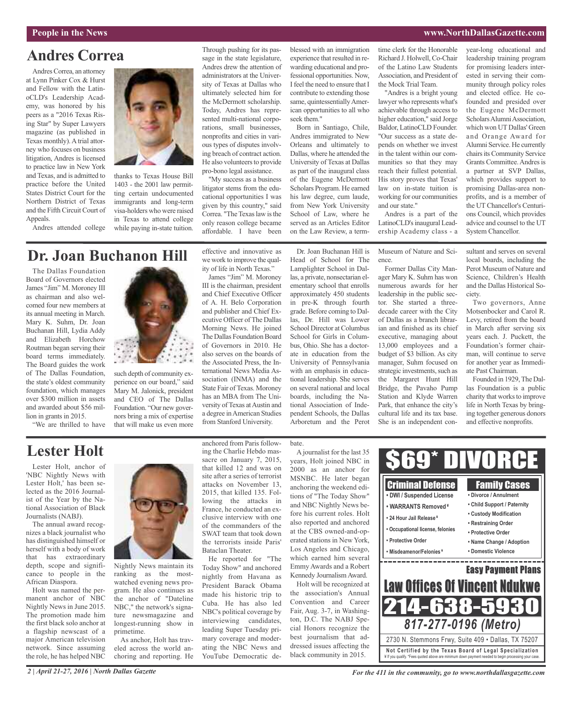### **People in the News www.NorthDallasGazette.com**

## **Andres Correa**

Andres Correa, an attorney at Lynn Pinker Cox & Hurst and Fellow with the LatinoCLD's Leadership Academy, was honored by his peers as a "2016 Texas Rising Star" by Super Lawyers magazine (as published in Texas monthly). A trial attorney who focuses on business litigation, Andres is licensed to practice law in New York and Texas, and is admitted to practice before the United States District Court for the Northern District of Texas and the Fifth Circuit Court of Appeals.

Andres attended college

![](_page_1_Picture_5.jpeg)

thanks to Texas House Bill 1403 - the 2001 law permitting certain undocumented immigrants and long-term visa-holders who were raised in Texas to attend college while paying in-state tuition. Through pushing for its passage in the state legislature, Andres drew the attention of administrators at the University of Texas at Dallas who ultimately selected him for the McDermott scholarship. Today, Andres has represented multi-national corporations, small businesses, nonprofits and cities in various types of disputes involving breach of contract action. He also volunteers to provide pro-bono legal assistance.

"My success as a business litigator stems from the educational opportunities I was given by this country," said Correa. "The Texas law is the only reason college became affordable. I have been

blessed with an immigration experience that resulted in rewarding educational and professional opportunities. Now, I feel the need to ensure that I contribute to extending those same, quintessentially American opportunities to all who seek them."

Born in Santiago, Chile, Andres immigrated to New Orleans and ultimately to Dallas, where he attended the University of Texas at Dallas as part of the inaugural class of the Eugene McDermott Scholars Program. He earned his law degree, cum laude, from New York University School of Law, where he served as an Articles Editor on the Law Review, a termtime clerk for the Honorable Richard J. Holwell, Co-Chair of the Latino Law Students Association, and President of the Mock Trial Team.

"Andres is a bright young lawyer who represents what's achievable through access to higher education," said Jorge Baldor, LatinoCLD Founder. "Our success as a state depends on whether we invest in the talent within our communities so that they may reach their fullest potential. His story proves that Texas' law on in-state tuition is working for our communities and our state."

Andres is a part of the LatinoCLD's inaugural Leadership Academy class - a leadership training program for promising leaders interested in serving their community through policy roles and elected office. He cofounded and presided over the Eugene McDermott Scholars Alumni Association, which won UT Dallas' Green and Orange Award for Alumni Service. He currently chairs its Community Service Grants Committee. Andres is a partner at SVP Dallas, which provides support to promising Dallas-area nonprofits, and is a member of the UT Chancellor's Centurions Council, which provides advice and counsel to the UT System Chancellor.

year-long educational and

## **Dr. Joan Buchanon Hill**

The Dallas Foundation Board of Governors elected James "Jim" M. Moroney III as chairman and also welcomed four new members at its annual meeting in March. Mary K. Suhm, Dr. Joan Buchanan Hill, Lydia Addy and Elizabeth Horchow Routman began serving their board terms immediately. The Board guides the work of The Dallas Foundation, the state's oldest community foundation, which manages over \$300 million in assets and awarded about \$56 million in grants in 2015.

such depth of community ex-

perience on our board," said Mary M. Jalonick, president and CEO of The Dallas Foundation. "Our new governors bring a mix of expertise that will make us even more effective and innovative as we work to improve the quality of life in North Texas."

James "Jim" M. Moroney III is the chairman, president and Chief Executive Officer of A. H. Belo Corporation and publisher and Chief Executive Officer of The Dallas Morning News. He joined The Dallas Foundation Board of Governors in 2010. He also serves on the boards of the Associated Press, the International News Media Association (INMA) and the State Fair of Texas. Moroney has an MBA from The University of Texas at Austin and a degree inAmerican Studies from Stanford University.

Dr. Joan Buchanan Hill is Head of School for The Lamplighter School in Dallas, a private, nonsectarian elementary school that enrolls approximately 450 students in pre-K through fourth grade. Before coming to Dallas, Dr. Hill was Lower School Director at Columbus School for Girls in Columbus, Ohio. She has a doctorate in education from the University of Pennsylvania with an emphasis in educational leadership. She serves on several national and local boards, including the National Association of Independent Schools, the Dallas Arboretum and the Perot

Museum of Nature and Science.

Former Dallas City Manager Mary K. Suhm has won numerous awards for her leadership in the public sector. She started a threedecade career with the City of Dallas as a branch librarian and finished as its chief executive, managing about 13,000 employees and a budget of \$3 billion. As city manager, Suhm focused on strategic investments, such as the Margaret Hunt Hill Bridge, the Pavaho Pump Station and Klyde Warren Park, that enhance the city's cultural life and its tax base. She is an independent consultant and serves on several local boards, including the Perot Museum of Nature and Science, Children's Health and the Dallas Historical Society.

Two governors, Anne Motsenbocker and Carol R. Levy, retired from the board in March after serving six years each. J. Puckett, the Foundation's former chairman, will continue to serve for another year as Immediate Past Chairman.

Founded in 1929, The Dallas Foundation is a public charity that works to improve life in North Texas by bringing together generous donors and effective nonprofits.

## **Lester Holt**

"We are thrilled to have

Lester Holt, anchor of 'NBC Nightly News with Lester Holt,' has been selected as the 2016 Journalist of the Year by the National Association of Black Journalists (NABJ).

The annual award recognizes a black journalist who has distinguished himself or herself with a body of work that has extraordinary depth, scope and significance to people in the African Diaspora.

Holt was named the permanent anchor of NBC Nightly News in June 2015. The promotion made him the first black solo anchor at a flagship newscast of a major American television network. Since assuming the role, he has helped NBC

![](_page_1_Picture_31.jpeg)

Nightly News maintain its ranking as the mostwatched evening news program. He also continues as the anchor of "Dateline NBC," the network's signature newsmagazine and longest-running show in primetime.

As anchor, Holt has traveled across the world anchoring and reporting. He anchored from Paris following the Charlie Hebdo massacre on January 7, 2015, that killed 12 and was on site after a series of terrorist attacks on November 13, 2015, that killed 135. Following the attacks in France, he conducted an exclusive interview with one of the commanders of the SWAT team that took down the terrorists inside Paris' Bataclan Theater.

He reported for "The Today Show" and anchored nightly from Havana as President Barack Obama made his historic trip to Cuba. He has also led NBC's political coverage by interviewing candidates, leading Super Tuesday primary coverage and moderating the NBC News and YouTube Democratic de-

### bate.

A journalist for the last 35 years, Holt joined NBC in 2000 as an anchor for MSNBC. He later began anchoring the weekend editions of "The Today Show" and NBC Nightly News before his current roles. Holt also reported and anchored at the CBS owned-and-operated stations in New York, Los Angeles and Chicago, which earned him several Emmy Awards and a Robert Kennedy JournalismAward.

Holt will be recognized at the association's Annual Convention and Career Fair, Aug. 3-7, in Washington, D.C. The NABJ Special Honors recognize the best journalism that addressed issues affecting the black community in 2015.

![](_page_1_Picture_39.jpeg)

*2 | April 21-27, 2016 | North Dallas Gazette*

*For the 411 in the community, go to www.northdallasgazette.com*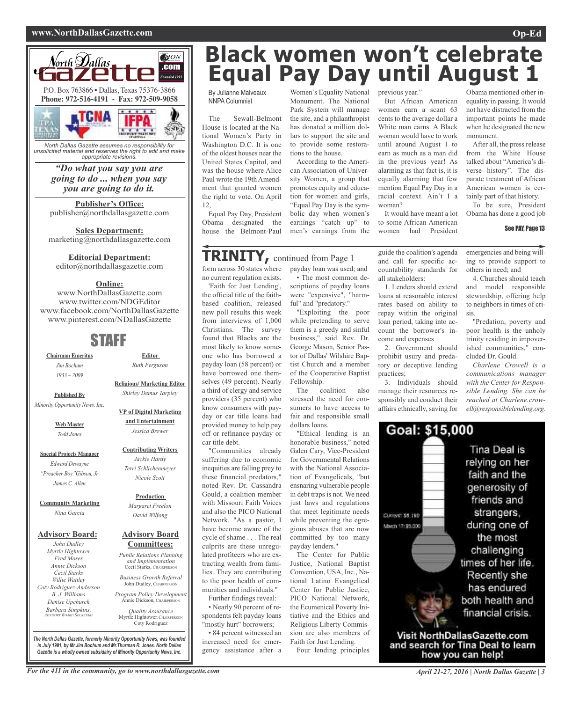### **www.NorthDallasGazette.com Op-Ed**

![](_page_2_Picture_2.jpeg)

*unsolicited material and reserves the right to edit and make appropriate revisions.*

### *"Do what you say you are going to do ... when you say you are going to do it.*

**Publisher's Office:** publisher@northdallasgazette.com

**Sales Department:** marketing@northdallasgazette.com

### **Editorial Department:**

editor@northdallasgazette.com

### **Online:**

www.NorthDallasGazette.com www.twitter.com/NDGEditor www.facebook.com/NorthDallasGazette www.pinterest.com/NDallasGazette

## STAFF

**Chairman Emeritus** *Jim Bochum 1933 – 2009*

**Religious/ Marketing Editor** *Shirley Demus tarpley*

**Published By** *Minority opportunity News, inc.*

> **Web Master** *todd Jones*

**Special Projects Manager** *edward Dewayne "Preacher Boy"Gibson, Jr. James C. Allen*

**Community Marketing** *Nina Garcia*

### **Advisory Board:**

*John Dudley Myrtle Hightower Fred Moses Annie Dickson Cecil Starks Willie Wattley Coty Rodriguez-Anderson B. J. Williams Denise Upchurch Barbara Simpkins, ADviSoRy BoARD SeCRetARy*

**Advisory Board Committees:** *Public Relations Planning and implementation*

**Production** *Margaret Freelon David Wilfong*

**Editor** *Ruth Ferguson*

**VP of Digital Marketing and Entertainment** *Jessica Brewer*

**Contributing Writers** *Jackie Hardy terri Schlichenmeyer Nicole Scott*

Cecil Starks, CHAIRPERSON *Business Growth Referral* John Dudley, CHAIRPERSON

*Program Policy Development* Annie Dickson, CHAIRPER

*Quality Assurance* Myrtle Hightower, CHAIRPERSO Coty Rodriguez

**Black women won't celebrate Equal Pay Day until August 1**

By Julianne Malveaux NNPA Columnist

The Sewall-Belmont House is located at the National Women's Party in Washington D.C. It is one of the oldest houses near the United States Capitol, and was the house where Alice Paul wrote the 19th Amendment that granted women the right to vote. On April 12,

Equal Pay Day, President Obama designated the house the Belmont-Paul

## **TRINITY,** continued from Page <sup>1</sup>

form across 30 states where no current regulation exists.

'Faith for Just Lending', the official title of the faithbased coalition, released new poll results this week from interviews of 1,000 Christians. The survey found that Blacks are the most likely to know someone who has borrowed a payday loan (58 percent) or have borrowed one themselves (49 percent). Nearly a third of clergy and service providers (35 percent) who know consumers with payday or car title loans had provided money to help pay off or refinance payday or car title debt.

"Communities already suffering due to economic inequities are falling prey to these financial predators," noted Rev. Dr. Cassandra Gould, a coalition member with Missouri Faith Voices and also the PICO National Network. "As a pastor, I have become aware of the cycle of shame . . . The real culprits are these unregulated profiteers who are extracting wealth from families. They are contributing to the poor health of communities and individuals."

Further findings reveal: • Nearly 90 percent of respondents felt payday loans "mostly hurt" borrowers;

• 84 percent witnessed an increased need for emergency assistance after a

Women's Equality National previous year." Monument. The National Park System will manage the site, and a philanthropist has donated a million dollars to support the site and to provide some restorations to the house.

According to the American Association of University Women, a group that promotes equity and education for women and girls, "Equal Pay Day is the symbolic day when women's earnings "catch up" to men's earnings from the

payday loan was used; and • The most common descriptions of payday loans were "expensive", "harmful" and "predatory."

"Exploiting the poor while pretending to serve them is a greedy and sinful business," said Rev. Dr. George Mason, Senior Pastor of Dallas' Wilshire Baptist Church and a member of the Cooperative Baptist

The coalition also stressed the need for consumers to have access to

Fellowship.

guide the coalition's agenda and call for specific accountability standards for

It would have meant a lot to some African American women had President

woman?

But African American women earn a scant 63 cents to the average dollar a White man earns. A Black woman would have to work until around August 1 to earn as much as a man did in the previous year! As alarming as that fact is, it is equally alarming that few mention Equal Pay Day in a racial context. Ain't I a

all stakeholders: 1. Lenders should extend loans at reasonable interest rates based on ability to repay within the original loan period, taking into account the borrower's income and expenses

2. Government should prohibit usury and predatory or deceptive lending practices;

3. Individuals should manage their resources responsibly and conduct their affairs ethnically, saving for

Obama mentioned other inequality in passing. It would not have distracted from the important points he made when he designated the new monument.

After all, the press release from the White House talked about "America's diverse history". The disparate treatment of African American women is certainly part of that history.

To be sure, President Obama has done a good job

### See PAY, Page 13

emergencies and being willing to provide support to others in need; and

4. Churches should teach and model responsible stewardship, offering help to neighbors in times of crisis.

"Predation, poverty and poor health is the unholy trinity residing in impoverished communities," concluded Dr. Gould.

*Charlene Crowell is a communications manager with the Center for Responsible Lending. She can be reached at Charlene.crowell@responsiblelending.org.*

![](_page_2_Picture_48.jpeg)

For the 411 in the community, go to www.northdallasgazette.com April 21-27, 2016 | North Dallas Gazette | 3

*The North Dallas Gazette, formerly Minority Opportunity News, was founded in July 1991, by Mr.Jim Bochum and Mr.Thurman R. Jones. North Dallas Gazette is a wholly owned subsidairy of Minority Opportunity News, Inc.*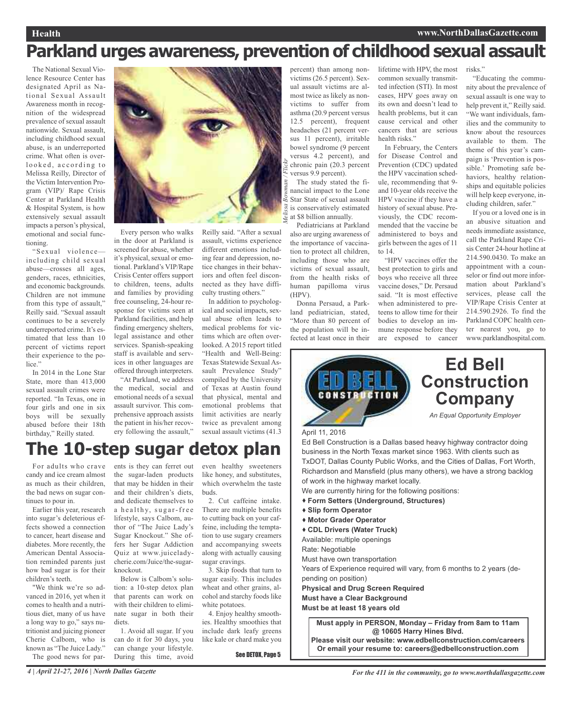# **Parkland urges awareness, prevention of childhood sexual assault**

The National Sexual Violence Resource Center has designated April as National Sexual Assault Awareness month in recognition of the widespread prevalence of sexual assault nationwide. Sexual assault, including childhood sexual abuse, is an underreported crime. What often is overlooked, according to Melissa Reilly, Director of the Victim Intervention Program (VIP)/ Rape Crisis Center at Parkland Health & Hospital System, is how extensively sexual assault impacts a person's physical, emotional and social functioning.

"Sexual violence including child sexual abuse—crosses all ages, genders, races, ethnicities, and economic backgrounds. Children are not immune from this type of assault," Reilly said. "Sexual assault continues to be a severely underreported crime. It's estimated that less than 10 percent of victims report their experience to the police."

In 2014 in the Lone Star State, more than 413,000 sexual assault crimes were reported. "In Texas, one in four girls and one in six boys will be sexually abused before their 18th birthday," Reilly stated.

![](_page_3_Picture_5.jpeg)

Every person who walks in the door at Parkland is screened for abuse, whether it's physical, sexual or emotional. Parkland's VIP/Rape Crisis Center offers support to children, teens, adults and families by providing free counseling, 24-hour response for victims seen at Parkland facilities, and help finding emergency shelters, legal assistance and other services. Spanish-speaking staff is available and services in other languages are offered through interpreters.

"At Parkland, we address the medical, social and emotional needs of a sexual assault survivor. This comprehensive approach assists the patient in his/her recovery following the assault," Reilly said. "After a sexual assault, victims experience different emotions including fear and depression, notice changes in their behaviors and often feel disconnected as they have difficulty trusting others."

In addition to psychological and social impacts, sexual abuse often leads to medical problems for victims which are often overlooked. A 2015 report titled "Health and Well-Being: Texas Statewide Sexual Assault Prevalence Study" compiled by the University of Texas at Austin found that physical, mental and emotional problems that limit activities are nearly twice as prevalent among sexual assault victims (41.3

# **The 10-step sugar detox plan**

For adults who crave candy and ice cream almost as much as their children, the bad news on sugar continues to pour in.

Earlier this year, research into sugar's deleterious effects showed a connection to cancer, heart disease and diabetes. More recently, the American Dental Association reminded parents just how bad sugar is for their children's teeth.

"We think we're so advanced in 2016, yet when it comes to health and a nutritious diet, many of us have a long way to go," says nutritionist and juicing pioneer Cherie Calbom, who is known as "The Juice Lady." The good news for parents is they can ferret out the sugar-laden products that may be hidden in their and their children's diets, and dedicate themselves to a healthy, sugar-free lifestyle, says Calbom, author of "The Juice Lady's Sugar Knockout." She offers her Sugar Addiction Quiz at www.juiceladycherie.com/Juice/the-sugarknockout.

Below is Calbom's solution: a 10-step detox plan that parents can work on with their children to eliminate sugar in both their diets.

1. Avoid all sugar. If you can do it for 30 days, you can change your lifestyle. During this time, avoid

even healthy sweeteners like honey, and substitutes, which overwhelm the taste buds.

2. Cut caffeine intake. There are multiple benefits to cutting back on your caffeine, including the temptation to use sugary creamers and accompanying sweets along with actually causing sugar cravings.

3. Skip foods that turn to sugar easily. This includes wheat and other grains, alcohol and starchy foods like white potatoes.

4. Enjoy healthy smoothies. Healthy smoothies that include dark leafy greens like kale or chard make you

See DETOX, Page 5

percent) than among nonvictims (26.5 percent). Sexual assault victims are almost twice as likely as nonvictims to suffer from asthma (20.9 percent versus 12.5 percent), frequent headaches (21 percent versus 11 percent), irritable bowel syndrome (9 percent versus 4.2 percent), and chronic pain (20.3 percent versus 9.9 percent). The study stated the fi-

nancial impact to the Lone  $\frac{8}{9}$  Star State of sexual assault is conservatively estimated at \$8 billion annually.

Pediatricians at Parkland also are urging awareness of the importance of vaccination to protect all children, including those who are victims of sexual assault, from the health risks of human papilloma virus (HPV).

Donna Persaud, a Parkland pediatrician, stated, "More than 80 percent of the population will be infected at least once in their lifetime with HPV, the most common sexually transmitted infection (STI). In most cases, HPV goes away on its own and doesn't lead to health problems, but it can cause cervical and other cancers that are serious health risks."

In February, the Centers for Disease Control and Prevention (CDC) updated the HPV vaccination schedule, recommending that 9 and 10-year olds receive the HPV vaccine if they have a history of sexual abuse. Previously, the CDC recommended that the vaccine be administered to boys and girls between the ages of 11 to 14.

"HPV vaccines offer the best protection to girls and boys who receive all three vaccine doses," Dr. Persaud said. "It is most effective when administered to preteens to allow time for their bodies to develop an immune response before they are exposed to cancer

risks."

"Educating the community about the prevalence of sexual assault is one way to help prevent it," Reilly said. "We want individuals, families and the community to know about the resources available to them. The theme of this year's campaign is 'Prevention is possible.' Promoting safe behaviors, healthy relationships and equitable policies will help keep everyone, including children, safer."

If you or a loved one is in an abusive situation and needs immediate assistance, call the Parkland Rape Crisis Center 24-hour hotline at 214.590.0430. To make an appointment with a counselor or find out more information about Parkland's services, please call the VIP/Rape Crisis Center at 214.590.2926. To find the Parkland COPC health center nearest you, go to www.parklandhospital.com.

![](_page_3_Picture_32.jpeg)

We are currently hiring for the following positions:

- **Form Setters (Underground, Structures)**
- **Slip form Operator**
- **Motor Grader Operator**
- **CDL Drivers (Water Truck)**
- Available: multiple openings

Rate: Negotiable

Must have own transportation

Years of Experience required will vary, from 6 months to 2 years (depending on position)

**Physical and Drug Screen Required**

**Must have a Clear Background**

**Must be at least 18 years old**

**Must apply in PERSON, Monday – Friday from 8am to 11am @ 10605 Harry Hines Blvd. Please visit our website: www.edbellconstruction.com/careers**

**Or email your resume to: careers@edbellconstruction.com**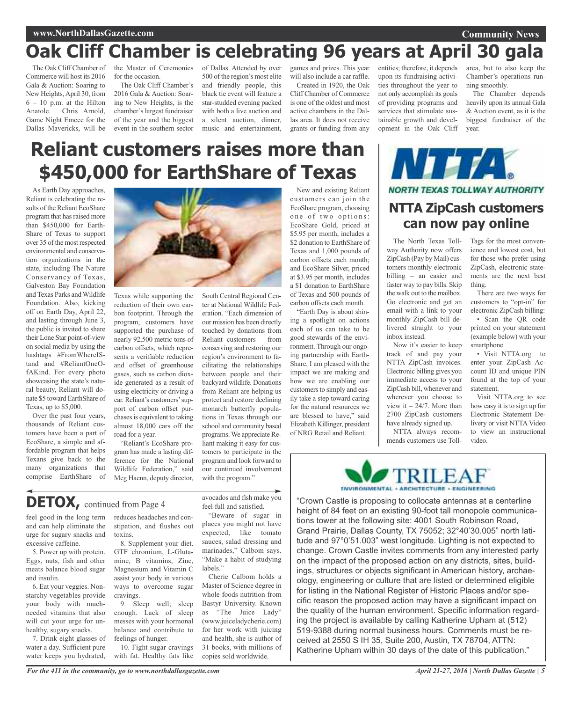### **Community News**

# **Oak Cliff Chamber is celebrating 96 years at April 30 gala**

The Oak Cliff Chamber of Commerce will host its 2016 Gala & Auction: Soaring to New Heights,April 30, from 6 – 10 p.m. at the Hilton Anatole. Chris Arnold, Game Night Emcee for the Dallas Mavericks, will be

the Master of Ceremonies for the occasion.

The Oak Cliff Chamber's 2016 Gala & Auction: Soaring to New Heights, is the chamber'slargest fundraiser of the year and the biggest event in the southern sector

of Dallas. Attended by over 500 of the region's most elite and friendly people, this black tie event will feature a star-studded evening packed with both a live auction and a silent auction, dinner, music and entertainment,

games and prizes. This year will also include a car raffle.

Created in 1920, the Oak Cliff Chamber of Commerce is one of the oldest and most active chambers in the Dallas area. It does not receive grants or funding from any entities; therefore, it depends upon its fundraising activities throughout the year to not only accomplish its goals of providing programs and services that stimulate sustainable growth and development in the Oak Cliff

area, but to also keep the Chamber's operations running smoothly.

The Chamber depends heavily upon its annual Gala & Auction event, as it is the biggest fundraiser of the year.

# **Reliant customers raises more than \$450,000 for EarthShare of Texas**

As Earth Day approaches, Reliant is celebrating the results of the Reliant EcoShare program that has raised more than \$450,000 for Earth-Share of Texas to support over 35 of the most respected environmental and conservation organizations in the state, including The Nature Conservancy of Texas, Galveston Bay Foundation and Texas Parks and Wildlife Foundation. Also, kicking off on Earth Day, April 22, and lasting through June 3, the public is invited to share their Lone Star point-of-view on social media by using the hashtags #FromWhereIStand and #ReliantOneOfAKind. For every photo showcasing the state's natural beauty, Reliant will donate \$5 toward EarthShare of Texas, up to \$5,000.

Over the past four years, thousands of Reliant customers have been a part of EcoShare, a simple and affordable program that helps Texans give back to the many organizations that comprise EarthShare of

![](_page_4_Picture_15.jpeg)

Texas while supporting the reduction of their own carbon footprint. Through the program, customers have supported the purchase of nearly 92,500 metric tons of carbon offsets, which represents a verifiable reduction and offset of greenhouse gases, such as carbon dioxide generated as a result of using electricity or driving a car. Reliant's customers'support of carbon offset purchases is equivalent to taking almost 18,000 cars off the road for a year.

"Reliant's EcoShare program has made a lasting difference for the National Wildlife Federation," said Meg Haenn, deputy director, South Central Regional Center at National Wildlife Federation. "Each dimension of our mission has been directly touched by donations from Reliant customers – from conserving and restoring our region's environment to facilitating the relationships between people and their backyard wildlife. Donations from Reliant are helping us protect and restore declining monarch butterfly populations in Texas through our school and community based programs. We appreciate Reliant making it easy for customers to participate in the program and look forward to our continued involvement with the program."

**DETOX,** continued from Page <sup>4</sup>

feel good in the long term and can help eliminate the urge for sugary snacks and excessive caffeine.

5. Power up with protein. Eggs, nuts, fish and other meats balance blood sugar and insulin.

6. Eat your veggies. Nonstarchy vegetables provide your body with muchneeded vitamins that also will cut your urge for unhealthy, sugary snacks.

7. Drink eight glasses of water a day. Sufficient pure water keeps you hydrated, reduces headaches and constipation, and flushes out toxins.

8. Supplement your diet. GTF chromium, L-Glutamine, B vitamins, Zinc, Magnesium and Vitamin C assist your body in various ways to overcome sugar cravings.

9. Sleep well; sleep enough. Lack of sleep messes with your hormonal balance and contribute to feelings of hunger.

10. Fight sugar cravings with fat. Healthy fats like

feel full and satisfied. "Beware of sugar in places you might not have

avocados and fish make you

expected, like tomato sauces, salad dressing and marinades," Calbom says. "Make a habit of studying labels."

Cherie Calbom holds a Master of Science degree in whole foods nutrition from Bastyr University. Known as "The Juice Lady" (www.juiceladycherie.com) for her work with juicing and health, she is author of 31 books, with millions of copies sold worldwide.

New and existing Reliant customers can join the EcoShare program, choosing one of two options: EcoShare Gold, priced at \$5.95 per month, includes a \$2 donation to EarthShare of Texas and 1,000 pounds of carbon offsets each month; and EcoShare Silver, priced at \$3.95 per month, includes a \$1 donation to EarthShare of Texas and 500 pounds of carbon offsets each month.

"Earth Day is about shining a spotlight on actions each of us can take to be good stewards of the environment. Through our ongoing partnership with Earth-Share, I am pleased with the impact we are making and how we are enabling our customers to simply and easily take a step toward caring for the natural resources we are blessed to have," said Elizabeth Killinger, president of NRG Retail and Reliant.

 $\mathbf{V}$  , and  $\mathbf{V}$  and  $\mathbf{V}$ **NORTH TEXAS TOLLWAY AUTHORITY NTTA ZipCash customers**

# **can now pay online**

The North Texas Tollway Authority now offers ZipCash (Pay by Mail) customers monthly electronic billing – an easier and faster way to pay bills. Skip the walk out to the mailbox. Go electronic and get an email with a link to your monthly ZipCash bill delivered straight to your inbox instead.

Now it's easier to keep track of and pay your NTTA ZipCash invoices. Electronic billing gives you immediate access to your ZipCash bill, whenever and wherever you choose to view it  $-24/7$ . More than 2700 ZipCash customers have already signed up.

NTTA always recommends customers use TollTags for the most convenience and lowest cost, but for those who prefer using ZipCash, electronic statements are the next best thing.

There are two ways for customers to "opt-in" for electronic ZipCash billing:

• Scan the QR code printed on your statement (example below) with your smartphone

• Visit NTTA.org to enter your ZipCash Account ID and unique PIN found at the top of your statement.

Visit NTTA.org to see how easy it is to sign up for Electronic Statement Delivery or visit NTTA Video to view an instructional video.

![](_page_4_Picture_43.jpeg)

"Crown Castle is proposing to collocate antennas at a centerline height of 84 feet on an existing 90-foot tall monopole communications tower at the following site: 4001 South Robinson Road, Grand Prairie, Dallas County, TX 75052; 32°40'30.005" north latitude and 97°0'51.003" west longitude. Lighting is not expected to change. Crown Castle invites comments from any interested party on the impact of the proposed action on any districts, sites, buildings, structures or objects significant in American history, archaeology, engineering or culture that are listed or determined eligible for listing in the National Register of Historic Places and/or specific reason the proposed action may have a significant impact on the quality of the human environment. Specific information regarding the project is available by calling Katherine Upham at (512) 519-9388 during normal business hours. Comments must be received at 2550 S IH 35, Suite 200, Austin, TX 78704, ATTN: Katherine Upham within 30 days of the date of this publication."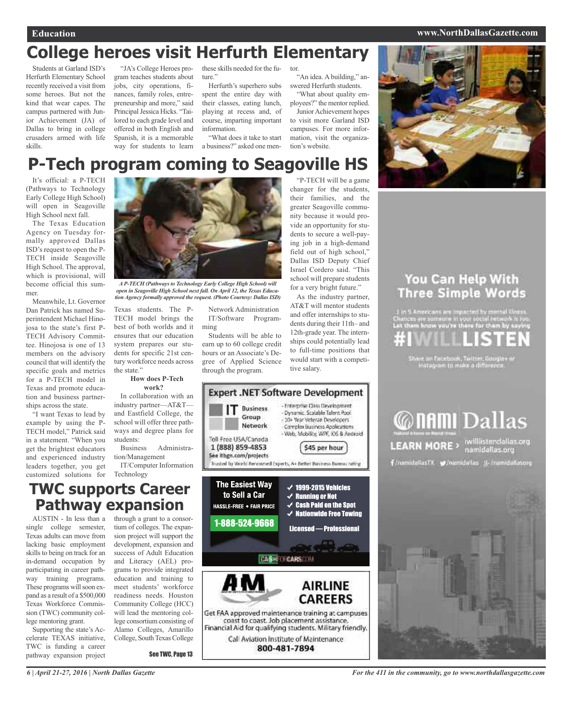### **Education www.NorthDallasGazette.com**

# **College heroes visit Herfurth Elementary**

Students at Garland ISD's Herfurth Elementary School recently received a visit from some heroes. But not the kind that wear capes. The campus partnered with Junior Achievement (JA) of Dallas to bring in college crusaders armed with life skills.

"JA's College Heroes program teaches students about jobs, city operations, finances, family roles, entrepreneurship and more," said Principal Jessica Hicks. "Tailored to each grade level and offered in both English and Spanish, it is a memorable way for students to learn

these skills needed for the future."

Herfurth's superhero subs spent the entire day with their classes, eating lunch, playing at recess and, of course, imparting important information.

"What does it take to start a business?" asked one men-

tor. "An idea. A building," answered Herfurth students.

"What about quality employees?" the mentor replied. Junior Achievement hopes to visit more Garland ISD campuses. For more information, visit the organization's website.

"P-TECH will be a game changer for the students, their families, and the greater Seagoville community because it would provide an opportunity for students to secure a well-paying job in a high-demand field out of high school," Dallas ISD Deputy Chief Israel Cordero said. "This school will prepare students for a very bright future." As the industry partner, AT&T will mentor students and offer internships to students during their 11th– and 12th-grade year. The internships could potentially lead to full-time positions that would start with a competi-

![](_page_5_Picture_10.jpeg)

# **P-Tech program coming to Seagoville HS**

It's official: a P-TECH (Pathways to Technology Early College High School) will open in Seagoville High School next fall.

The Texas Education Agency on Tuesday formally approved Dallas ISD's request to open the P-TECH inside Seagoville High School. The approval, which is provisional, will become official this summer.

Meanwhile, Lt. Governor Dan Patrick has named Superintendent Michael Hinojosa to the state's first P-TECH Advisory Committee. Hinojosa is one of 13 members on the advisory council that will identify the specific goals and metrics for a P-TECH model in Texas and promote education and business partnerships across the state.

"I want Texas to lead by example by using the P-TECH model," Patrick said in a statement. "When you get the brightest educators and experienced industry leaders together, you get customized solutions for *AP-TECH (Pathways to Technology Early College High School) will*

*open in Seagoville High School next fall. On April 12, the Texas Education Agency formally approved the request. (Photo Courtesy: Dallas ISD)*

Texas students. The P-TECH model brings the best of both worlds and it ensures that our education system prepares our students for specific 21st century workforce needs across the state."

### **How does P-Tech work?**

In collaboration with an industry partner—AT&T and Eastfield College, the school will offer three pathways and degree plans for students:

Business Administration/Management IT/Computer Information

Technology

## **TWC supports Career Pathway expansion**

single college semester, Texas adults can move from lacking basic employment skills to being on track for an in-demand occupation by participating in career pathway training programs. These programs will soon expand as a result of a \$500,000 Texas Workforce Commission (TWC) community college mentoring grant.

Supporting the state's Accelerate TEXAS initiative, TWC is funding a career pathway expansion project

AUSTIN - In less than a through a grant to a consortium of colleges. The expansion project will support the development, expansion and success of Adult Education and Literacy (AEL) programs to provide integrated education and training to meet students' workforce readiness needs. Houston Community College (HCC) will lead the mentoring college consortium consisting of Alamo Colleges, Amarillo College, South Texas College

See TWC, Page 13

Network Administration IT/Software Programming

Students will be able to earn up to 60 college credit hours or an Associate's Degree of Applied Science through the program.

![](_page_5_Picture_30.jpeg)

tive salary.

## You Can Help With **Three Simple Words**

n 5 Americans are impacted by montal thre

ire an Facetsiak, Teitter, Google+<br>Instagram to make a difference.

![](_page_5_Picture_34.jpeg)

![](_page_5_Picture_35.jpeg)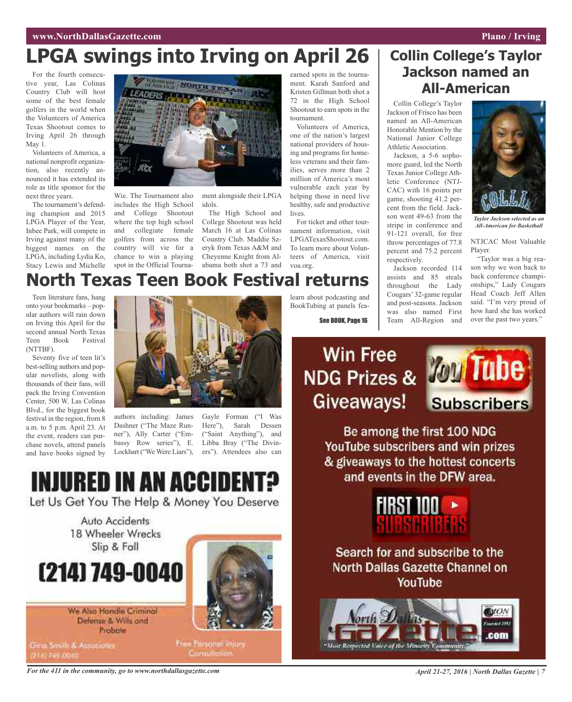# **LPGA swings into Irving on April 26**

For the fourth consecutive year, Las Colinas Country Club will host some of the best female golfers in the world when the Volunteers of America Texas Shootout comes to Irving April 26 through May 1.

Volunteers of America, a national nonprofit organization, also recently announced it has extended its role as title sponsor for the next three years.

The tournament's defending champion and 2015 LPGA Player of the Year, Inbee Park, will compete in Irving against many of the biggest names on the LPGA, including Lydia Ko, Stacy Lewis and Michelle

![](_page_6_Picture_5.jpeg)

Wie. The Tournament also includes the High School and College Shootout where the top high school and collegiate female golfers from across the country will vie for a chance to win a playing spot in the Official Tourna-

ment alongside their LPGA idols.

The High School and College Shootout was held March 16 at Las Colinas Country Club. Maddie Szeryk from Texas A&M and Cheyenne Knight from Alabama both shot a 73 and earned spots in the tournament. Karah Sanford and Kristen Gillman both shot a 72 in the High School Shootout to earn spots in the tournament.

Volunteers of America, one of the nation's largest national providers of housing and programs for homeless veterans and their families, serves more than 2 million of America's most vulnerable each year by helping those in need live healthy, safe and productive lives.

For ticket and other tournament information, visit LPGATexasShootout.com. To learn more about Volunteers of America, visit voa.org.

## **Collin College's Taylor Jackson named an All-American**

Collin College's Taylor Jackson of Frisco has been named an All-American Honorable Mention by the National Junior College Athletic Association.

Jackson, a 5-6 sophomore guard, led the North Texas Junior College Athletic Conference (NTJ-CAC) with 16 points per game, shooting 41.2 percent from the field. Jackson went 49-63 from the stripe in conference and 91-121 overall, for free throw percentages of 77.8 percent and 75.2 percent respectively.

Jackson recorded 114 assists and 85 steals throughout the Lady Cougars' 32-game regular and post-seasons. Jackson was also named First Team All-Region and

![](_page_6_Picture_16.jpeg)

*Taylor Jackson selected as an All-American for Basketball*

### NTJCAC Most Valuable Player.

"Taylor was a big reason why we won back to back conference championships," Lady Cougars Head Coach Jeff Allen said. "I'm very proud of how hard she has worked over the past two years."

# **North Texas Teen Book Festival returns**

Teen literature fans, hang onto your bookmarks – popular authors will rain down on Irving this April for the second annual North Texas Teen Book Festival (NTTBF).

Seventy five of teen lit's best-selling authors and popular novelists, along with thousands of their fans, will pack the Irving Convention Center, 500 W. Las Colinas Blvd., for the biggest book festival in the region, from 8 a.m. to 5 p.m. April 23. At the event, readers can purchase novels, attend panels and have books signed by

![](_page_6_Picture_23.jpeg)

authors including: James Dashner ("The Maze Runner"), Ally Carter ("Embassy Row series"), E. Lockhart ("We Were Liars"),

Gayle Forman ("I Was Here"), Sarah Dessen ("Saint Anything"), and Libba Bray ("The Diviners"). Attendees also can

![](_page_6_Picture_26.jpeg)

Let Us Get You The Help & Money You Deserve

Auto Accidents 18 Wheeler Wrecks Slip & Fall

# (214) 749-0040

We Also Handle Criminal Defense & Wills and Probate

Gina Smith & Associates

Free Parsonol Injury **Consultation** 

learn about podcasting and BookTubing at panels fea-

See BOOK, Page 16

# **Win Free** Giveaways!

![](_page_6_Picture_36.jpeg)

Be among the first 100 NDG YouTube subscribers and win prizes & giveaways to the hottest concerts and events in the DFW area.

![](_page_6_Picture_38.jpeg)

Search for and subscribe to the **North Dallas Gazette Channel on** YouTube

![](_page_6_Picture_40.jpeg)

For the 411 in the community, go to www.northdallasgazette.com April 21-27, 2016 | North Dallas Gazette | 7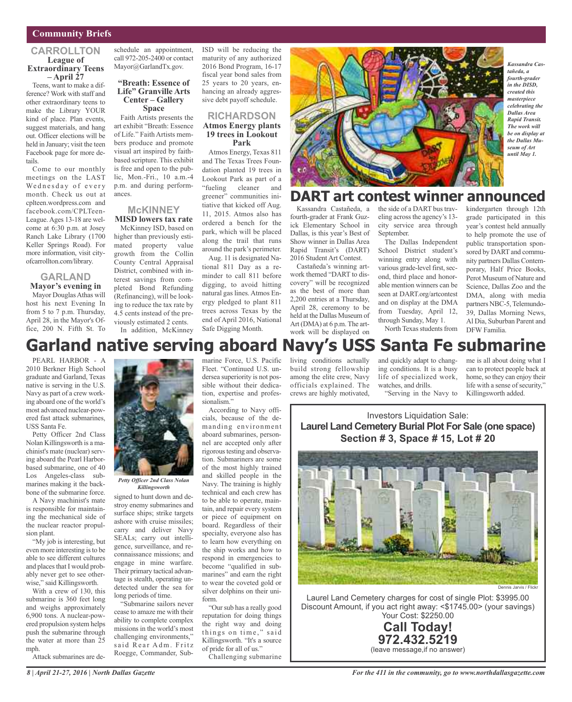### **Community Briefs**

### **CARROLLTON League of Extraordinary Teens – April <sup>27</sup>**

Teens, want to make a difference? Work with staff and other extraordinary teens to make the Library YOUR kind of place. Plan events, suggest materials, and hang out. Officer elections will be held in January; visit the teen Facebook page for more details.

Come to our monthly meetings on the LAST Wednesday of every month. Check us out at cplteen.wordpress.com and facebook.com/CPLTeen-League. Ages 13-18 are welcome at 6:30 p.m. at Josey Ranch Lake Library (1700 Keller Springs Road). For more information, visit cityofcarrollton.com/library.

### **GARLAND Mayor's evening in**

Mayor Douglas Athas will host his next Evening In from 5 to 7 p.m. Thursday, April 28, in the Mayor's Office, 200 N. Fifth St. To

schedule an appointment, call 972-205-2400 or contact Mayor@GarlandTx.gov.

### **"Breath: Essence of Life" Granville Arts Center – Gallery Space**

Faith Artists presents the art exhibit "Breath: Essence of Life." Faith Artists members produce and promote visual art inspired by faithbased scripture. This exhibit is free and open to the public, Mon.-Fri., 10 a.m.-4 p.m. and during performances.

### **McKINNEY MISD lowers tax rate**

McKinney ISD, based on higher than previously estimated property value growth from the Collin County Central Appraisal District, combined with interest savings from completed Bond Refunding (Refinancing), will be looking to reduce the tax rate by 4.5 cents instead of the previously estimated 2 cents. In addition, McKinney ISD will be reducing the maturity of any authorized 2016 Bond Program, 16-17 fiscal year bond sales from 25 years to 20 years, enhancing an already aggressive debt payoff schedule.

### **RICHARDSON Atmos Energy plants 19 trees in Lookout Park**

Atmos Energy, Texas 811 and The Texas Trees Foundation planted 19 trees in Lookout Park as part of a "fueling cleaner and greener" communities initiative that kicked off Aug. 11, 2015. Atmos also has ordered a bench for the park, which will be placed along the trail that runs around the park's perimeter.

Aug. 11 is designated National 811 Day as a reminder to call 811 before digging, to avoid hitting natural gas lines. Atmos Energy pledged to plant 811 trees across Texas by the end of April 2016, National Safe Digging Month.

![](_page_7_Picture_15.jpeg)

#### *Kassandra Castañeda, a fourth-grader in the DISD, created this masterpiece celebrating the Dallas Area Rapid Transit. The work will be on display at the Dallas Museum of Art until May 1.*

## **DART art contest winner announced**

Kassandra Castañeda, a fourth-grader at Frank Guzick Elementary School in Dallas, is this year's Best of Show winner in Dallas Area Rapid Transit's (DART) 2016 Student Art Contest.

Castañeda's winning artwork themed "DART to discovery" will be recognized as the best of more than 2,200 entries at a Thursday, April 28, ceremony to be held at the Dallas Museum of Art (DMA) at 6 p.m. The artwork will be displayed on

the side of a DART bus traveling across the agency's 13city service area through September.

The Dallas Independent School District student's winning entry along with various grade-level first, second, third place and honorable mention winners can be seen at DART.org/artcontest and on display at the DMA from Tuesday, April 12, through Sunday, May 1. North Texas students from kindergarten through 12th grade participated in this year's contest held annually to help promote the use of public transportation sponsored by DART and community partners Dallas Contemporary, Half Price Books, Perot Museum of Nature and Science, Dallas Zoo and the DMA, along with media partners NBC-5, Telemundo-39, Dallas Morning News, Al Dia, Suburban Parent and DFW Familia.

# **Garland native serving aboard Navy's USS Santa Fe submarine**

PEARL HARBOR - A 2010 Berkner High School graduate and Garland, Texas native is serving in the U.S. Navy as part of a crew working aboard one of the world's most advanced nuclear-powered fast attack submarines, USS Santa Fe.

Petty Officer 2nd Class Nolan Killingsworth is a machinist's mate (nuclear) serving aboard the Pearl Harborbased submarine, one of 40 Los Angeles-class submarines making it the backbone of the submarine force.

A Navy machinist's mate is responsible for maintaining the mechanical side of the nuclear reactor propulsion plant.

"My job is interesting, but even more interesting is to be able to see different cultures and places that I would probably never get to see otherwise," said Killingsworth.

With a crew of 130, this submarine is 360 feet long and weighs approximately 6,900 tons. A nuclear-powered propulsion system helps push the submarine through the water at more than 25 mph.

Attack submarines are de-

![](_page_7_Picture_30.jpeg)

*Petty Officer 2nd Class Nolan Killingsworth*

signed to hunt down and destroy enemy submarines and surface ships; strike targets ashore with cruise missiles; carry and deliver Navy SEALs; carry out intelligence, surveillance, and reconnaissance missions; and engage in mine warfare. Their primary tactical advantage is stealth, operating undetected under the sea for long periods of time.

"Submarine sailors never cease to amaze me with their ability to complete complex missions in the world's most challenging environments," said Rear Adm. Fritz Roegge, Commander, Submarine Force, U.S. Pacific Fleet. "Continued U.S. undersea superiority is not possible without their dedication, expertise and professionalism."

According to Navy officials, because of the demanding environment aboard submarines, personnel are accepted only after rigorous testing and observation. Submariners are some of the most highly trained and skilled people in the Navy. The training is highly technical and each crew has to be able to operate, maintain, and repair every system or piece of equipment on board. Regardless of their specialty, everyone also has to learn how everything on the ship works and how to respond in emergencies to become "qualified in submarines" and earn the right to wear the coveted gold or silver dolphins on their uniform.

"Oursub has a really good reputation for doing things the right way and doing things on time," said Killingsworth. "It's a source of pride for all of us." Challenging submarine

living conditions actually build strong fellowship among the elite crew, Navy officials explained. The crews are highly motivated,

and quickly adapt to changing conditions. It is a busy life of specialized work, watches, and drills.

"Serving in the Navy to

me is all about doing what I can to protect people back at home, so they can enjoy their life with a sense of security," Killingsworth added.

Investors Liquidation Sale: **Laurel Land Cemetery Burial Plot For Sale (one space) Section # 3, Space # 15, Lot # 20**

![](_page_7_Picture_42.jpeg)

Laurel Land Cemetery charges for cost of single Plot: \$3995.00 Discount Amount, if you act right away: <\$1745.00> (your savings) Your Cost: \$2250.00

![](_page_7_Picture_44.jpeg)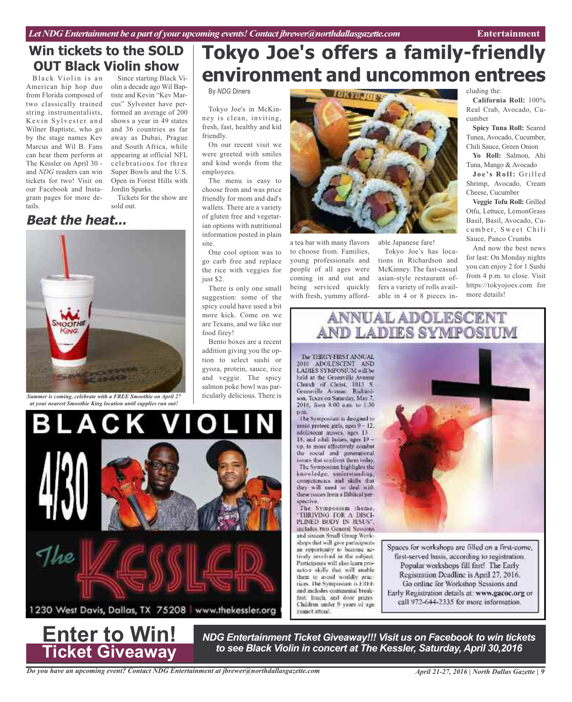friendly.

site.

food firey!

By *NDG* Diners

Tokyo Joe's in McKinney is clean, inviting, fresh, fast, healthy and kid

On our recent visit we were greeted with smiles

spicy could have used a bit more kick. Come on we are Texans, and we like our

Bento boxes are a recent addition giving you the option to select sushi or gyoza, protein, sauce, rice and veggie. The spicy salmon poke bowl was particularly delicious. There is

## **Win tickets to the SOLD OUT Black Violin show**

Black Violin is an American hip hop duo from Florida composed of two classically trained string instrumentalists, Kevin Sylvester and Wilner Baptiste, who go by the stage names Kev Marcus and Wil B. Fans can hear them perform at The Kessler on April 30 and *NDG* readers can win tickets for two! Visit on our Facebook and Instagram pages for more details.

Since starting Black Violin a decade ago Wil Baptiste and Kevin "Kev Marcus" Sylvester have performed an average of 200 shows a year in 49 states and 36 countries as far away as Dubai, Prague and South Africa, while appearing at official NFL celebrations for three Super Bowls and the U.S. Open in Forest Hills with Jordin Sparks.

Tickets for the show are sold out.

## **Beat the heat...**

![](_page_8_Picture_7.jpeg)

*Summer is coming, celebrate with a FREE Smoothie on April 27 at your nearest Smoothie King location until supplies run out!*

. A C

![](_page_8_Picture_9.jpeg)

with fresh, yummy afford-

able Japanese fare!

**Tokyo Joe's offers a family-friendly**

**environment and uncommon entrees**

**TOKYOJOEK** 

Tokyo Joe's has locations in Richardson and McKinney. The fast-casual asian-style restaurant offers a variety of rolls available in 4 or 8 pieces including the:

**California Roll:** 100% Real Crab, Avocado, Cucumber

**Spicy Tuna Roll:** Seared Tunea, Avocado, Cucumber, Chili Sauce, Green Onion

**Yo Roll:** Salmon, Ahi Tuna, Mango & Avocado

**J o e 's Ro l l:** Gri l l e d Shrimp, Avocado, Cream Cheese, Cucumber

**Veggie Tofu Roll:** Grilled Otfu, Lettuce, LemonGrass Basil, Basil, Avocado, Cucumber, Sweet Chili Sauce, Panco Crumbs

And now the best news for last: On Monday nights you can enjoy 2 for 1 Sushi from 4 p.m. to close. Visit https://tokyojoes.com for more details!

![](_page_8_Picture_20.jpeg)

pen. The Symposium is designed to msist preteen girls, nges 9 - 12. adolescent misses, ages 13 15, and zilul. ladies, ages 19 up, to more effectively combat the social and generational issues that confront them today. The Symposium highlights the knowledge, understunding, competencies and skills that they will need to deal with these issues from a Biblical perspective.

The Symposium theme. **TIRIVING FOR A DISCI-**PLINED BODY IN JESUS". includes two General Sessions and sixteen Small Group Workshops that will give participants. an opportunity to become actively involved in the subject. Participants will also karn proactive skills that will enable them to avoid worldly practices. The Symposium is FRFE and includes continental breakfast lanch, and door prizes Children under 9 years of age

cannet attend.

![](_page_8_Picture_23.jpeg)

Spaces for workshops are filled on a first-come, first-served basis, according to registration. Popular workshops fill fast! The Early Registration Deadline is April 27, 2016. Go online for Workshop Sessions and Early Registration details at: www.gacoc.org or call 972-644-2335 for more information.

**Enter to Win! Ticket Giveaway**

Ï

O

V

*NDG Entertainment Ticket Giveaway!!! Visit us on Facebook to win tickets to see Black Violin in concert at The Kessler, Saturday, April 30,2016*

*Do you have an upcoming event? Contact NDG Entertainment at jbrewer@northdallasgazette.com*

1230 West Davis, Dallas, TX 75208 | www.thekessler.org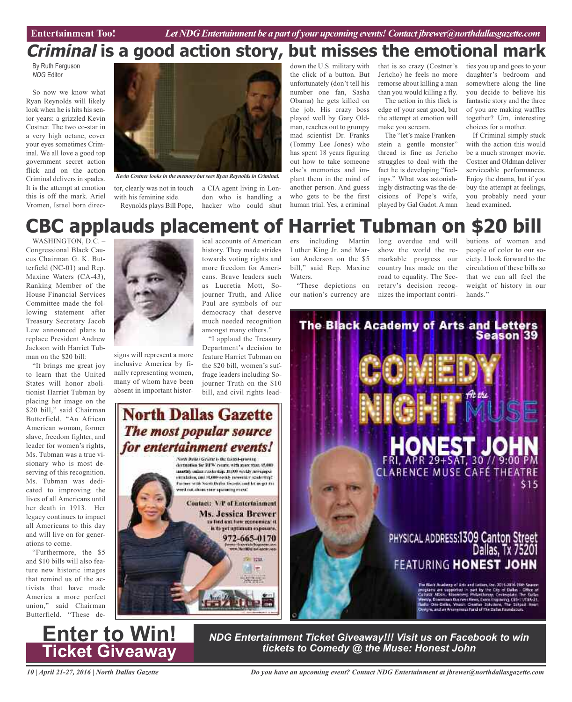# **Criminal is a good action story, but misses the emotional mark**

By Ruth Ferguson *NDG* Editor

So now we know what Ryan Reynolds will likely look when he is hits his senior years: a grizzled Kevin Costner. The two co-star in a very high octane, cover your eyes sometimes Criminal. We all love a good top government secret action flick and on the action Criminal delivers in spades. It is the attempt at emotion this is off the mark. Ariel Vromen, Israel born direc-

![](_page_9_Picture_5.jpeg)

*Kevin Costner looks in the memory but sees Ryan Reynolds in Criminal.*

with his feminine side. Reynolds plays Bill Pope,

tor, clearly was not in touch a CIA agent living in London who is handling a hacker who could shut

down the U.S. military with the click of a button. But unfortunately (don't tell his number one fan, Sasha Obama) he gets killed on the job. His crazy boss played well by Gary Oldman, reaches out to grumpy mad scientist Dr. Franks (Tommy Lee Jones) who has spent 18 years figuring out how to take someone else's memories and implant them in the mind of another person. And guess who gets to be the first human trial. Yes, a criminal

that is so crazy (Costner's Jericho) he feels no more remorse about killing a man than you would killing a fly.

The action in this flick is edge of your seat good, but the attempt at emotion will make you scream.

The "let's make Frankenstein a gentle monster" thread is fine as Jericho struggles to deal with the fact he is developing "feelings." What was astonishingly distracting was the decisions of Pope's wife, played by Gal Gadot. Aman

ties you up and goes to your daughter's bedroom and somewhere along the line you decide to believe his fantastic story and the three of you are making waffles together? Um, interesting choices for a mother.

If Criminal simply stuck with the action this would be a much stronger movie. Costner and Oldman deliver serviceable performances. Enjoy the drama, but if you buy the attempt at feelings, you probably need your head examined.

# **CBC** applauds placement of Harriet Tubman **o**

WASHINGTON, D.C. – Congressional Black Caucus Chairman G. K. Butterfield (NC-01) and Rep. Maxine Waters (CA-43), Ranking Member of the House Financial Services Committee made the following statement after Treasury Secretary Jacob Lew announced plans to replace President Andrew Jackson with Harriet Tubman on the \$20 bill:

"It brings me great joy to learn that the United States will honor abolitionist Harriet Tubman by placing her image on the \$20 bill," said Chairman Butterfield. "An African American woman, former slave, freedom fighter, and leader for women's rights, Ms. Tubman was a true visionary who is most deserving of this recognition. Ms. Tubman was dedicated to improving the lives of all Americans until her death in 1913. Her legacy continues to impact all Americans to this day and will live on for generations to come.

"Furthermore, the \$5 and \$10 bills will also feature new historic images that remind us of the activists that have made America a more perfect union," said Chairman Butterfield. "These de-

![](_page_9_Picture_19.jpeg)

signs will represent a more inclusive America by finally representing women, many of whom have been absent in important histor-

ical accounts of American history. They made strides towards voting rights and more freedom for Americans. Brave leaders such as Lucretia Mott, Sojourner Truth, and Alice Paul are symbols of our democracy that deserve much needed recognition amongst many others."

"I applaud the Treasury Department's decision to feature Harriet Tubman on the \$20 bill, women's suffrage leaders including Sojourner Truth on the \$10 bill, and civil rights lead-

# **North Dallas Gazette** The most popular source for entertainment events!

Forth Dates George is the fastest-growing destination for DPW courts, with more than 45,000. marthly online residenting 10,000 weekly accessored Spittebook validades dava GRAN lass justiciais Further with North Britist Genetic and let us get the and out shows view spowing event. Contact: V/P of Entertainment **Ms. Jessica Brewer** to find out for economical it is to get optimum exposure. 972-665-0170 Write an announce  $\approx$  1738 浦市

ers including Martin Luther King Jr. and Marian Anderson on the \$5 bill," said Rep. Maxine Waters.

"These depictions on our nation's currency are long overdue and will show the world the remarkable progress our country has made on the road to equality. The Secretary's decision recognizes the important contributions of women and people of color to our society. I look forward to the circulation of these bills so that we can all feel the weight of history in our hands."

![](_page_9_Picture_29.jpeg)

*10 | April 21-27, 2016 | North Dallas Gazette*

**Enter to Win!**

**Ticket Giveaway**

*Do you have an upcoming event? Contact NDG Entertainment at jbrewer@northdallasgazette.com*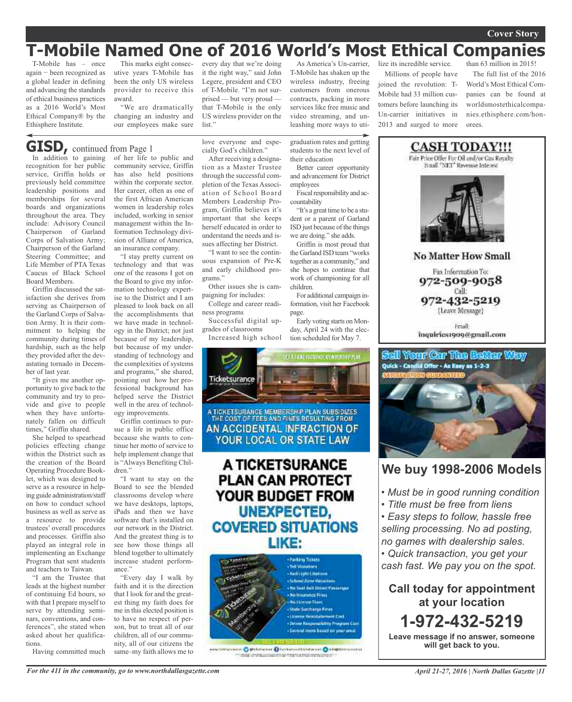### **Cover Story**

# **T-Mobile Named One of 2016 World's Most Ethical Companies**

T-Mobile has – once again − been recognized as a global leader in defining and advancing the standards of ethical business practices as a 2016 World's Most Ethical Company® by the Ethisphere Institute.

This marks eight consecutive years T-Mobile has been the only US wireless provider to receive this award.

"We are dramatically changing an industry and our employees make sure every day that we're doing it the right way," said John Legere, president and CEO of T-Mobile. "I'm not surprised — but very proud that T-Mobile is the only US wireless provider on the list."

As America's Un-carrier, T-Mobile has shaken up the wireless industry, freeing customers from onerous contracts, packing in more services like free music and video streaming, and unleashing more ways to uti-

graduation rates and getting students to the next level of

Better career opportunity and advancement for District

Fiscal responsibility and ac-

"It's a great time to be a student or a parent of Garland ISD just because of the things we are doing." she adds. Griffin is most proud that the Garland ISD team "works together as a community," and she hopes to continue that work of championing for all

For additional campaign information, visit her Facebook

Early voting starts on Monday, April 24 with the election scheduled for May 7.

their education

employees

countability

children.

page.

lize its incredible service. Millions of people have joined the revolution: T-Mobile had 33 million customers before launching its Un-carrier initiatives in 2013 and surged to more orees.

than 63 million in 2015! The full list of the 2016 World's Most Ethical Companies can be found at worldsmostethicalcompanies.ethisphere.com/hon-

## In addition to gaining **GISD,** continued from Page <sup>1</sup>

recognition for her public service, Griffin holds or previously held committee leadership positions and memberships for several boards and organizations throughout the area. They include: Advisory Council Chairperson of Garland Corps of Salvation Army; Chairperson of the Garland Steering Committee; and Life Member of PTA Texas Caucus of Black School Board Members.

Griffin discussed the satisfaction she derives from serving as Chairperson of the Garland Corps of Salvation Army. It is their commitment to helping the community during times of hardship, such as the help they provided after the devastating tornado in December of last year.

"It gives me another opportunity to give back to the community and try to provide and give to people when they have unfortunately fallen on difficult times," Griffin shared.

She helped to spearhead policies effecting change within the District such as the creation of the Board Operating Procedure Booklet, which was designed to serve as a resource in helping guide administration/staff on how to conduct school business as well as serve as a resource to provide trustees' overall procedures and processes. Griffin also played an integral role in implementing an Exchange Program that sent students and teachers to Taiwan.

"I am the Trustee that leads at the highest number of continuing Ed hours, so with that I prepare myself to serve by attending seminars, conventions, and conferences", she stated when asked about her qualifications.

Having committed much

of her life to public and community service, Griffin has also held positions within the corporate sector. Her career, often as one of the first African American women in leadership roles included, working in senior management within the Information Technology division of Allianz of America, an insurance company.

"I stay pretty current on technology and that was one of the reasons I got on the Board to give my information technology expertise to the District and I am pleased to look back on all the accomplishments that we have made in technology in the District; not just because of my leadership, but because of my understanding of technology and the complexities of systems and programs," she shared, pointing out how her professional background has helped serve the District well in the area of technology improvements.

Griffin continues to pursue a life in public office because she wants to continue her motto of service to help implement change that is "Always Benefiting Children<sup>"</sup>

"I want to stay on the Board to see the blended classrooms develop where we have desktops, laptops, iPads and then we have software that's installed on our network in the District. And the greatest thing is to see how those things all blend together to ultimately increase student performance."

"Every day I walk by faith and it is the direction that I look for and the greatest thing my faith does for me in this elected position is to have no respect of person, but to treat all of our children, all of our community, all of our citizens the same–my faith allows me to love everyone and especially God's children."

After receiving a designation as a Master Trustee through the successful completion of the Texas Association of School Board Members Leadership Program, Griffin believes it's important that she keeps herself educated in order to understand the needs and issues affecting her District.

"I want to see the continuous expansion of Pre-K and early childhood programs."

Other issues she is campaigning for includes:

College and career readiness programs

Successful digital upgrades of classrooms Increased high school

ET A TIDSE FORTWALE ALMEENTHIP FEN Ticketsurance A TICKETSURANCE MEMBERSH P PLAN SUBSIDIZES THE COST OF FEES AND FINES RESULTING FROM AN ACCIDENTAL INFRACTION OF YOUR LOCAL OR STATE LAW A TICKETSURANCE **PLAN CAN PROTECT** YOUR BUDGET FROM **UNEXPECTED, COVERED SITUATIONS** LIKE:

![](_page_10_Picture_28.jpeg)

ching in agricultural transverse

![](_page_10_Picture_30.jpeg)

**No Matter How Small** 

Fax Information To: 972-509-9058 Call:

972-432-5219 (Leave Message)

**Email** inquiries1909@gmail.com

![](_page_10_Picture_35.jpeg)

### **We buy 1998-2006 Models**

- *• Must be in good running condition*
- *• Title must be free from liens*

*• Easy steps to follow, hassle free selling processing. No ad posting, no games with dealership sales.*

*• Quick transaction, you get your cash fast. We pay you on the spot.*

**Call today for appointment at your location 1-972-432-5219**

**Leave message if no answer, someone will get back to you.**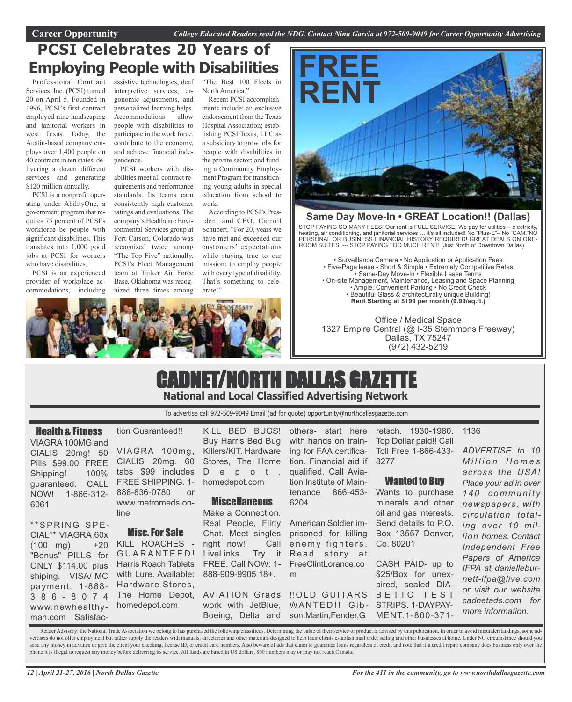# **PCSI Celebrates 20 Years of Employing People with Disabilities**

Professional Contract Services, Inc. (PCSI) turned 20 on April 5. Founded in 1996, PCSI's first contract employed nine landscaping and janitorial workers in west Texas. Today, the Austin-based company employs over 1,400 people on 40 contracts in ten states, delivering a dozen different services and generating \$120 million annually.

PCSI is a nonprofit operating under AbilityOne, a government program that requires 75 percent of PCSI's workforce be people with significant disabilities. This translates into 1,000 good jobs at PCSI for workers who have disabilities.

PCSI is an experienced provider of workplace accommodations, including

assistive technologies, deaf interpretive services, ergonomic adjustments, and personalized learning helps. Accommodations allow people with disabilities to participate in the work force, contribute to the economy, and achieve financial independence.

PCSI workers with disabilities meet all contract requirements and performance standards. Its teams earn consistently high customer ratings and evaluations. The company's Healthcare Environmental Services group at Fort Carson, Colorado was recognized twice among "The Top Five" nationally. PCSI's Fleet Management team at Tinker Air Force Base, Oklahoma was recognized three times among

"The Best 100 Fleets in North America."

Recent PCSI accomplishments include: an exclusive endorsement from the Texas Hospital Association; establishing PCSI Texas, LLC as a subsidiary to grow jobs for people with disabilities in the private sector; and funding a Community Employment Program for transitioning young adults in special education from school to work.

According to PCSI's President and CEO, Carroll Schubert, "For 20, years we have met and exceeded our customers' expectations while staying true to our mission: to employ people with every type of disability. That's something to celebrate!"

![](_page_11_Picture_11.jpeg)

![](_page_11_Picture_12.jpeg)

### **Same Day Move-In • GREAT Location!! (Dallas)**

STOP PAYING SO MANY FEES! Our rent is FULL SERVICE. We pay for utilities – electricity, heating, air conditioning, and janitorial services … it's all included! No "Plus-E"– No "CAM."NO PERSONAL OR BUSINESS FINANCIAL HISTORY REQUIRED! GREAT DEALS ON ONE-ROOM SUITES! --- STOP PAYING TOO MUCH RENT! (Just North of Downtown Dallas)

• Surveillance Camera • No Application or Application Fees • Five-Page lease - Short & Simple • Extremely Competitive Rates • Same-Day Move-In • Flexible Lease Terms • On-site Management, Maintenance, Leasing and Space Planning • Ample, Convenient Parking • No Credit Check • Beautiful Glass & architecturally unique Building! **Rent Starting at \$199 per month (9.99/sq.ft.)**

Office / Medical Space 1327 Empire Central (@ I-35 Stemmons Freeway) Dallas, TX 75247 (972) 432-5219

## CADNET/NORTH DALLAS GAZETTE **National and Local Classified Advertising Network**

To advertise call 972-509-9049 Email (ad for quote) opportunity@northdallasgazette.com

### Health & Fitness

VIAGRA 100MG and CIALIS 20mg! 50 Pills \$99.00 FREE Shipping! 100% guaranteed. CALL NOW! 1-866-312- 6061

tion Guaranteed!! VIAGRA 100mg,

CIALIS 20mg. 60 tabs \$99 includes FREE SHIPPING. 1- 888-836-0780 or www.metromeds.online

\*\*SPRING SPE-CIAL\*\* VIAGRA 60x  $(100 \text{ mg}) +20$ "Bonus" PILLS for ONLY \$114.00 plus shiping. VISA/ MC payment. 1-888- 3 8 6 - 8 0 7 4 www.newhealthyman.com Satisfac-Misc.For Sale KILL ROACHES GUARANTEED! Harris Roach Tablets with Lure. Available: Hardware Stores, The Home Depot, homedepot.com

KILL BED BUGS! Buy Harris Bed Bug Killers/KIT. Hardware Stores, The Home D e p o t , homedepot.com

### **Miscellaneous**

Make a Connection. Real People, Flirty Chat. Meet singles right now! Call LiveLinks. FREE. Call NOW: 1- 888-909-9905 18+.

work with JetBlue, WANTED!! Gib- STRIPS.1-DAYPAY-Boeing, Delta and son,Martin,Fender,G

others- start here with hands on train-Top Dollar paid!! Call ing for FAA certifica-Toll Free 1-866-433 tion. Financial aid if 8277 qualified. Call Aviation Institute of Maintenance 866-453- Wants to purchase 6204

American Soldier imprisoned for killing enemy fighters. Try it Read story at FreeClintLorance.co m

retsch. 1930-1980.

### Wanted to Buy

minerals and other oil and gas interests. Send details to P.O. Box 13557 Denver, Co. 80201

AVIATION Grads ‼OLD GUITARS BETIC TEST CASH PAID- up to \$25/Box for unexpired, sealed DIA-MENT.1-800-371-

*M i l l i o n H o m e s across the USA! Place your ad in over 1 4 0 c o m m u n i t y newspapers, with circulation totaling over 10 million homes. Contact Independent Free Papers of America IFPA at danielleburnett-ifpa@live.com or visit our website cadnetads.com for more information.*

*ADVERTISE to 10*

1136

Reader Advisory: the National Trade Association we belong to has purchased the following classifieds. Determining the value of their service or product is advised by this publication. In order to avoid misunderstandings, s vertisers do not offer employment but rather supply the readers with manuals, directories and other materials designed to help their clients establish mail order selling and other businesses at home. Under NO circumstance send any money in advance or give the client your checking, license ID, or credit card numbers. Also beware of ads that claim to guarantee loans regardless of credit and note that if a credit repair company does business o phone it is illegal to request any money before delivering its service. All funds are based in US dollars. 800 numbers may or may not reach Canada.

*12 | April 21-27, 2016 | North Dallas Gazette*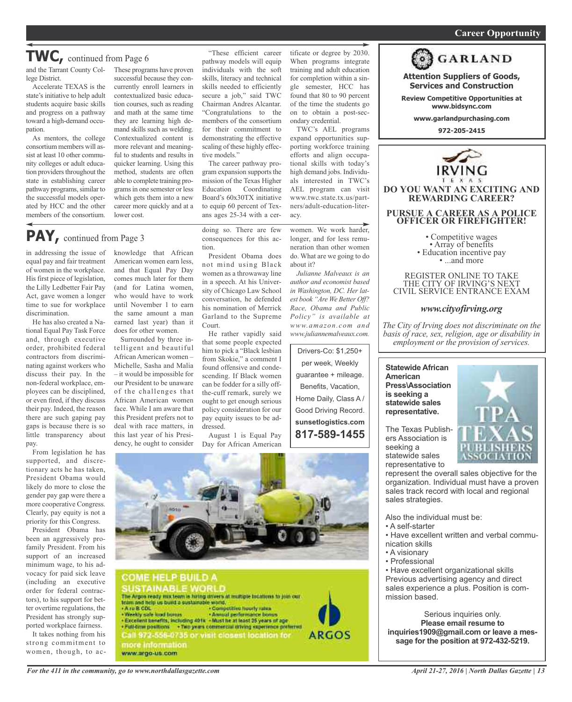### *On a quest for qualified candidates? Contact Nina Garcia at 972-509-9049* **Career Opportunity**

## **TWC,** continued from Page <sup>6</sup>

lege District.

Accelerate TEXAS is the state's initiative to help adult students acquire basic skills and progress on a pathway toward a high-demand occupation.

As mentors, the college consortium members will assist at least 10 other community colleges or adult education providers throughout the state in establishing career pathway programs, similar to the successful models operated by HCC and the other members of the consortium.

and the Tarrant County Col-These programs have proven successful because they concurrently enroll learners in contextualized basic education courses, such as reading and math at the same time they are learning high demand skills such as welding. Contextualized content is more relevant and meaningful to students and results in quicker learning. Using this method, students are often able to complete training programsin one semester or less which gets them into a new career more quickly and at a lower cost.

## **PAY,** continued from Page <sup>3</sup>

in addressing the issue of equal pay and fair treatment of women in the workplace. His first piece of legislation, the Lilly Ledbetter Fair Pay Act, gave women a longer time to sue for workplace discrimination.

He has also created a National Equal Pay Task Force and, through executive order, prohibited federal contractors from discriminating against workers who discuss their pay. In the non-federal workplace, employees can be disciplined, or even fired, if they discuss their pay. Indeed, the reason there are such gaping pay gaps is because there is so little transparency about pay.

From legislation he has supported, and discretionary acts he has taken, President Obama would likely do more to close the gender pay gap were there a more cooperative Congress. Clearly, pay equity is not a priority for this Congress.

President Obama has been an aggressively profamily President. From his support of an increased minimum wage, to his advocacy for paid sick leave (including an executive order for federal contractors), to his support for better overtime regulations, the President has strongly supported workplace fairness.

It takes nothing from his strong commitment to women, though, to ac-

knowledge that African American women earn less, and that Equal Pay Day comes much later for them (and for Latina women, who would have to work until November 1 to earn the same amount a man earned last year) than it does for other women.

Surrounded by three intelligent and beautiful African American women – Michelle, Sasha and Malia – it would be impossible for our President to be unaware of the challenges that African American women face. While I am aware that this President prefers not to deal with race matters, in this last year of his Presidency, he ought to consider

"These efficient career pathway models will equip individuals with the soft skills, literacy and technical skills needed to efficiently secure a job," said TWC Chairman Andres Alcantar. "Congratulations to the members of the consortium for their commitment to demonstrating the effective scaling of these highly effective models."

The career pathway program expansion supports the mission of the Texas Higher Education Coordinating Board's 60x30TX initiative to equip 60 percent of Texans ages 25-34 with a cer-

doing so. There are few consequences for this action.

President Obama does not mind using Black women as a throwaway line in a speech. At his University of Chicago Law School conversation, he defended his nomination of Merrick Garland to the Supreme Court.

He rather vapidly said that some people expected him to pick a "Black lesbian from Skokie," a comment I found offensive and condescending. If Black women can be fodder for a silly offthe-cuff remark, surely we ought to get enough serious policy consideration for our pay equity issues to be addressed.

August 1 is Equal Pay Day for African American tificate or degree by 2030. When programs integrate training and adult education for completion within a single semester, HCC has found that 80 to 90 percent of the time the students go on to obtain a post-secondary credential.

TWC's AEL programs expand opportunities supporting workforce training efforts and align occupational skills with today's high demand jobs. Individuals interested in TWC's AEL program can visit www.twc.state.tx.us/partners/adult-education-literacy.

women. We work harder, longer, and for less remuneration than other women do. What are we going to do about it?

*Julianne Malveaux is an author and economist based in Washington, DC. Her latest book "Are We Better off? Race, obama and Public Policy" is available at www.amazon.com and www.juliannemalveaux.com.*

Drivers-Co: \$1,250+ per week, Weekly guarantee + mileage. Benefits, Vacation, Home Daily, Class A / Good Driving Record. **sunsetlogistics.com 817-589-1455**

![](_page_12_Picture_25.jpeg)

**SUSTAINABLE WORLD** The Argos ready nux team is hiring drivers at multiple tocations to join our tram and help us bund a sustainable world.<br>• A ru B CDL . • Computitive hourly rates - Weekly safe load burnis<br>- Annual performance bonus<br>- Excellent benefits, including 401x - Must he at least 25 years of age . Full-trimpositions + Two years commercial driving experience preferred<br>Call 972-556-0735 or visit closerst location for **ARGOS** more information www.argo-us.com

![](_page_12_Picture_27.jpeg)

**Attention Suppliers of Goods, Services and Construction Review Competitive Opportunities at www.bidsync.com www.garlandpurchasing.com 972-205-2415**

**GARLAND** 

THE CITY OF IRVING'S NEXT CIVIL SERVICE ENTRANCE EXAM

### *www.cityofirving.org*

*the City of irving does not discriminate on the basis of race, sex, religion, age or disability in employment or the provision of services.*

**Statewide African American Press\Association is seeking a statewide sales representative.**

The Texas Publishers Association is seeking a statewide sales representative to

![](_page_12_Picture_33.jpeg)

represent the overall sales objective for the organization. Individual must have a proven sales track record with local and regional sales strategies.

Also the individual must be:

- A self-starter
- Have excellent written and verbal communication skills
- A visionary
- Professional

• Have excellent organizational skills Previous advertising agency and direct sales experience a plus. Position is commission based.

Serious inquiries only. **Please email resume to inquiries1909@gmail.com or leave a message for the position at 972-432-5219.**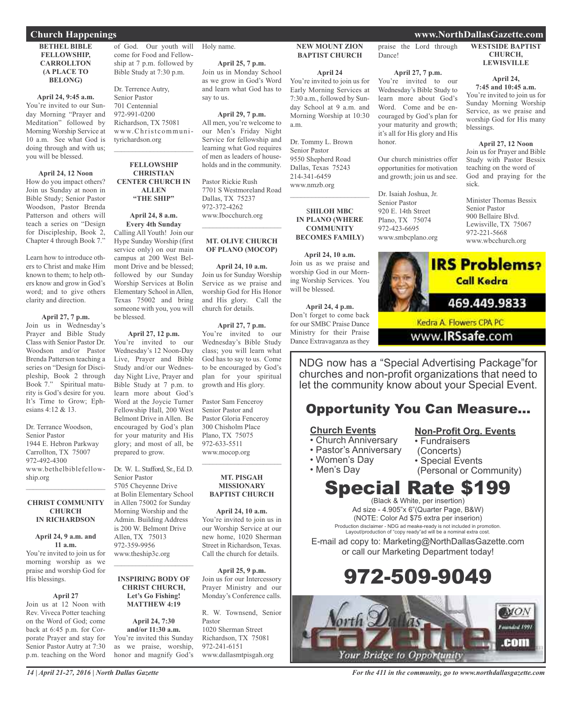### **BETHEL BIBLE FELLOWSHIP, CARROLLTON (A PLACE TO BELONG)**

### **April 24, 9:45 a.m.**

You're invited to our Sunday Morning "Prayer and Meditation" followed by Morning Worship Service at 10 a.m. See what God is doing through and with us; you will be blessed.

### **April 24, 12 Noon**

How do you impact others? Join us Sunday at noon in Bible Study; Senior Pastor Woodson, Pastor Brenda Patterson and others will teach a series on "Design for Discipleship, Book 2, Chapter 4 through Book 7."

Learn how to introduce others to Christ and make Him known to them; to help others know and grow in God's word; and to give others clarity and direction.

### **April 27, 7 p.m.**

Join us in Wednesday's Prayer and Bible Study Class with Senior Pastor Dr. Woodson and/or Pastor Brenda Patterson teaching a series on "Design for Discipleship, Book 2 through Book 7." Spiritual maturity is God's desire for you. It's Time to Grow; Ephesians 4:12 & 13.

Dr. Terrance Woodson, Senior Pastor 1944 E. Hebron Parkway Carrollton, TX 75007 972-492-4300 www.bethelbiblefellowship.org  $\mathcal{L}_\text{max}$  , which is a set of the set of the set of the set of the set of the set of the set of the set of the set of the set of the set of the set of the set of the set of the set of the set of the set of the set of

### **CHRIST COMMUNITY CHURCH IN RICHARDSON**

#### **April 24, 9 a.m. and 11 a.m.**

You're invited to join us for morning worship as we praise and worship God for His blessings.

### **April 27**

Join us at 12 Noon with Rev. Viveca Potter teaching on the Word of God; come back at 6:45 p.m. for Corporate Prayer and stay for Senior Pastor Autry at 7:30 p.m. teaching on the Word of God. Our youth will come for Food and Fellowship at 7 p.m. followed by Bible Study at 7:30 p.m.

Dr. Terrence Autry, Senior Pastor 701 Centennial 972-991-0200 Richardson, TX 75081 www.Christcommunityrichardson.org  $\mathcal{L}_\text{max}$  and  $\mathcal{L}_\text{max}$  and  $\mathcal{L}_\text{max}$ 

### **FELLOWSHIP CHRISTIAN CENTER CHURCH IN ALLEN "THE SHIP"**

### **April 24, 8 a.m. Every 4th Sunday**

Calling All Youth! Join our Hype Sunday Worship (first service only) on our main campus at 200 West Belmont Drive and be blessed; followed by our Sunday Worship Services at Bolin Elementary School in Allen, Texas 75002 and bring someone with you, you will be blessed.

### **April 27, 12 p.m.**

You're invited to our Wednesday's 12 Noon-Day Live, Prayer and Bible Study and/or our Wednesday Night Live, Prayer and Bible Study at 7 p.m. to learn more about God's Word at the Joycie Turner Fellowship Hall, 200 West Belmont Drive in Allen. Be encouraged by God's plan for your maturity and His glory; and most of all, be prepared to grow.

### Dr. W. L. Stafford, Sr., Ed. D. Senior Pastor 5705 Cheyenne Drive

at Bolin Elementary School in Allen 75002 for Sunday Morning Worship and the Admin. Building Address is 200 W. Belmont Drive Allen, TX 75013 972-359-9956 www.theship3c.org

### **INSPIRING BODY OF CHRIST CHURCH, Let's Go Fishing! MATTHEW 4:19**

 $\mathcal{L}_\text{max}$  , which is a set of the set of the set of the set of the set of the set of the set of the set of the set of the set of the set of the set of the set of the set of the set of the set of the set of the set of

**April 24, 7:30 and/or 11:30 a.m.** You're invited this Sunday as we praise, worship, honor and magnify God's

Holy name.

**April 25, 7 p.m.** Join us in Monday School as we grow in God's Word and learn what God has to say to us.

**April 29, 7 p.m.** All men, you're welcome to our Men's Friday Night Service for fellowship and learning what God requires of men as leaders of households and in the community.

Pastor Rickie Rush 7701 S Westmoreland Road Dallas, TX 75237 972-372-4262 www.Ibocchurch.org  $\overline{\phantom{a}}$  , and the set of the set of the set of the set of the set of the set of the set of the set of the set of the set of the set of the set of the set of the set of the set of the set of the set of the set of the s

### **MT. OLIVE CHURCH OF PLANO (MOCOP)**

**April 24, 10 a.m.** Join us for Sunday Worship Service as we praise and worship God for His Honor and His glory. Call the church for details.

**April 27, 7 p.m.** You're invited to our

Wednesday's Bible Study class; you will learn what God has to say to us. Come to be encouraged by God's plan for your spiritual growth and His glory.

Pastor Sam Fenceroy Senior Pastor and Pastor Gloria Fenceroy 300 Chisholm Place Plano, TX 75075 972-633-5511 www.mocop.org  $\overline{\phantom{a}}$  , and the set of the set of the set of the set of the set of the set of the set of the set of the set of the set of the set of the set of the set of the set of the set of the set of the set of the set of the s

### **MT. PISGAH MISSIONARY BAPTIST CHURCH**

**April 24, 10 a.m.** You're invited to join us in our Worship Service at our new home, 1020 Sherman Street in Richardson, Texas. Call the church for details.

**April 25, 9 p.m.** Join us for our Intercessory Prayer Ministry and our Monday's Conference calls.

R. W. Townsend, Senior Pastor 1020 Sherman Street Richardson, TX 75081 972-241-6151 www.dallasmtpisgah.org

### **NEW MOUNT ZION BAPTIST CHURCH**

**April 24**

You're invited to join us for Early Morning Services at 7:30 a.m., followed by Sunday School at 9 a.m. and Morning Worship at 10:30 a.m.

Dr. Tommy L. Brown Senior Pastor 9550 Shepherd Road Dallas, Texas 75243 214-341-6459 www.nmzb.org

### S**HILOH MBC IN PLANO (WHERE COMMUNITY BECOMES FAMILY)**

 $\mathcal{L}=\mathcal{L}^{\mathcal{L}}$  , where  $\mathcal{L}^{\mathcal{L}}$  , we have the set of the set of the set of the set of the set of the set of the set of the set of the set of the set of the set of the set of the set of the set of the set of

**April 24, 10 a.m.** Join us as we praise and worship God in our Morning Worship Services. You will be blessed.

**April 24, 4 p.m.** Don't forget to come back for our SMBC Praise Dance Ministry for their Praise Dance Extravaganza as they

praise the Lord through Dance!

### **April 27, 7 p.m.**

You're invited to our Wednesday's Bible Study to learn more about God's Word. Come and be encouraged by God's plan for your maturity and growth; it's all for His glory and His honor.

Our church ministries offer opportunities for motivation and growth; join us and see.

Dr. Isaiah Joshua, Jr. Senior Pastor 920 E. 14th Street Plano, TX 75074 972-423-6695 www.smbcplano.org

### **WESTSIDE BAPTIST CHURCH,**

**LEWISVILLE**

#### **April 24, 7:45 and 10:45 a.m.**

You're invited to join us for Sunday Morning Worship Service, as we praise and worship God for His many blessings.

**April 27, 12 Noon** Join us for Prayer and Bible Study with Pastor Bessix teaching on the word of God and praying for the sick.

Minister Thomas Bessix Senior Pastor 900 Bellaire Blvd. Lewisville, TX 75067 972-221-5668 www.wbcchurch.org

![](_page_13_Picture_57.jpeg)

www.**IRSsafe.com** 

NDG now has a "Special Advertising Package"for churches and non-profit organizations that need to let the community know about your Special Event.

## Opportunity You Can Measure...

### **Church Events**

- Church Anniversary
- Pastor's Anniversary
- Women's Day

• Men's Day

- (Concerts) • Special Events
- 

• Fundraisers

(Personal or Community)

**Non-Profit Org. Events**

## Special Rate \$199 (Black & White, per insertion)

Ad size - 4.905"x 6"(Quarter Page, B&W) (NOTE: Color Ad \$75 extra per inserion) Production disclaimer - NDG ad meake-ready is not included in promotion. Layout/production of "copy ready"ad will be a nominal extra cost.

E-mail ad copy to: Marketing@NorthDallasGazette.com or call our Marketing Department today!

# 972-509-9049

![](_page_13_Picture_72.jpeg)

*For the 411 in the community, go to www.northdallasgazette.com*

## **Church Happenings www.NorthDallasGazette.com**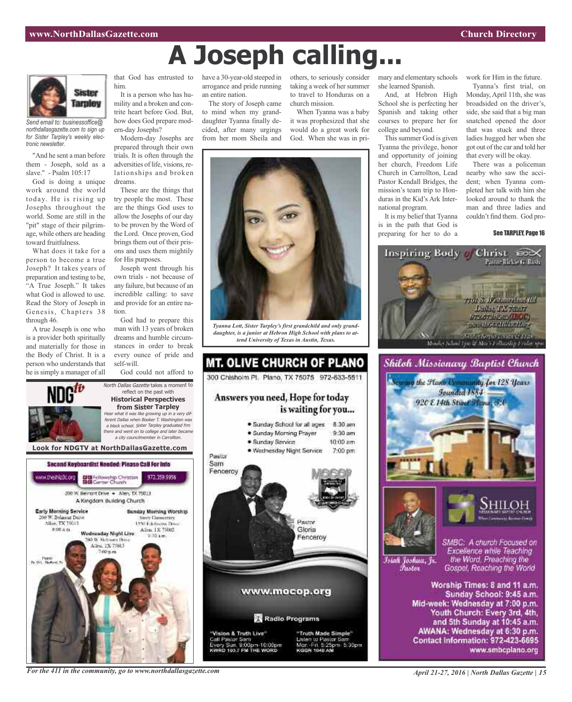![](_page_14_Picture_2.jpeg)

*Send email to: businessoffice@ northdallasgazette.com to sign up for Sister Tarpley's weekly electronic newsletter.*

"And he sent a man before them - Joseph, sold as a slave." - Psalm 105:17

God is doing a unique work around the world today. He is rising up Josephs throughout the world. Some are still in the "pit" stage of their pilgrimage, while others are heading toward fruitfulness.

What does it take for a person to become a true Joseph? It takes years of preparation and testing to be, "A True Joseph." It takes what God is allowed to use. Read the Story of Joseph in Genesis, Chapters 38 through 46.

A true Joseph is one who is a provider both spiritually and materially for those in the Body of Christ. It is a person who understands that he is simply a manager of all

that God has entrusted to him.

It is a person who has humility and a broken and contrite heart before God. But, how does God prepare modern-day Josephs?

Modern-day Josephs are prepared through their own trials. It is often through the adversities of life, visions, relationships and broken dreams.

These are the things that try people the most. These are the things God uses to allow the Josephs of our day to be proven by the Word of the Lord. Once proven, God brings them out of their prisons and uses them mightily for His purposes.

Joseph went through his own trials - not because of any failure, but because of an incredible calling: to save and provide for an entire nation.

God had to prepare this man with 13 years of broken dreams and humble circumstances in order to break every ounce of pride and self-will.

God could not afford to

![](_page_14_Picture_15.jpeg)

reflect on the past with **Historical Perspectives from Sister Tarpley** Hear what it was like growing up in <sup>a</sup> very different Dallas when Booker T. Washington was <sup>a</sup> black school. Sister Tarpley graduated frm there and went on to college and later became <sup>a</sup> city councilmember in Carrollton.

![](_page_14_Picture_17.jpeg)

have a 30-year-old steeped in arrogance and pride running an entire nation.

The story of Joseph came to mind when my granddaughter Tyanna finally decided, after many urgings from her mom Sheila and

others, to seriously consider mary and elementary schools taking a week of her summer to travel to Honduras on a church mission.

When Tyanna was a baby it was prophesized that she would do a great work for God. When she was in pri-

![](_page_14_Picture_22.jpeg)

**A Joseph calling...**

*Tyanna Lott, Sister Tarpley's first grandchild and only granddaughter, is a junior at Hebron High School with plans to attend University of Texas in Austin, Texas.*

![](_page_14_Picture_24.jpeg)

she learned Spanish.

And, at Hebron High School she is perfecting her Spanish and taking other courses to prepare her for college and beyond.

This summer God is given Tyanna the privilege, honor and opportunity of joining her church, Freedom Life Church in Carrollton, Lead Pastor Kendall Bridges, the mission's team trip to Honduras in the Kid's Ark International program.

It is my belief that Tyanna is in the path that God is preparing for her to do a

work for Him in the future.

Tyanna's first trial, on Monday, April 11th, she was broadsided on the driver's, side, she said that a big man snatched opened the door that was stuck and three ladies hugged her when she got out of the car and told her that every will be okay.

There was a policeman nearby who saw the accident; when Tyanna completed her talk with him she looked around to thank the man and three ladies and couldn't find them. God pro-

See TARPLEY, Page 16

![](_page_14_Picture_33.jpeg)

![](_page_14_Picture_34.jpeg)

![](_page_14_Picture_35.jpeg)

Islah Joshua, Jr. Fustor

SMBC: A church Focused on Excellence while Teaching the Word. Preaching the Gospel, Reaching the World

Worship Times: 8 and 11 a.m. Sunday School: 9:45 a.m. Mid-week: Wednesday at 7:00 p.m. Youth Church: Every 3rd, 4th, and 5th Sunday at 10:45 a.m. AWANA: Wednesday at 6:30 p.m. Contact Information: 972-423-6695 www.smbcplano.org

*For the 411 in the community, go to www.northdallasgazette.com*